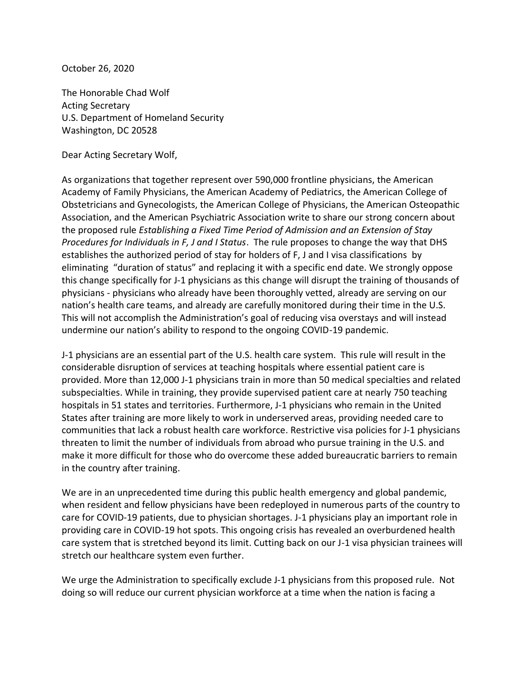October 26, 2020

The Honorable Chad Wolf Acting Secretary U.S. Department of Homeland Security Washington, DC 20528

Dear Acting Secretary Wolf,

As organizations that together represent over 590,000 frontline physicians, the American Academy of Family Physicians, the American Academy of Pediatrics, the American College of Obstetricians and Gynecologists, the American College of Physicians, the American Osteopathic Association, and the American Psychiatric Association write to share our strong concern about the proposed rule *Establishing a Fixed Time Period of Admission and an Extension of Stay Procedures for Individuals in F, J and I Status*. The rule proposes to change the way that DHS establishes the authorized period of stay for holders of F, J and I visa classifications by eliminating "duration of status" and replacing it with a specific end date. We strongly oppose this change specifically for J-1 physicians as this change will disrupt the training of thousands of physicians - physicians who already have been thoroughly vetted, already are serving on our nation's health care teams, and already are carefully monitored during their time in the U.S. This will not accomplish the Administration's goal of reducing visa overstays and will instead undermine our nation's ability to respond to the ongoing COVID-19 pandemic.

J-1 physicians are an essential part of the U.S. health care system. This rule will result in the considerable disruption of services at teaching hospitals where essential patient care is provided. More than 12,000 J-1 physicians train in more than 50 medical specialties and related subspecialties. While in training, they provide supervised patient care at nearly 750 teaching hospitals in 51 states and territories. Furthermore, J-1 physicians who remain in the United States after training are more likely to work in underserved areas, providing needed care to communities that lack a robust health care workforce. Restrictive visa policies for J-1 physicians threaten to limit the number of individuals from abroad who pursue training in the U.S. and make it more difficult for those who do overcome these added bureaucratic barriers to remain in the country after training.

We are in an unprecedented time during this public health emergency and global pandemic, when resident and fellow physicians have been redeployed in numerous parts of the country to care for COVID-19 patients, due to physician shortages. J-1 physicians play an important role in providing care in COVID-19 hot spots. This ongoing crisis has revealed an overburdened health care system that is stretched beyond its limit. Cutting back on our J-1 visa physician trainees will stretch our healthcare system even further.

We urge the Administration to specifically exclude J-1 physicians from this proposed rule. Not doing so will reduce our current physician workforce at a time when the nation is facing a